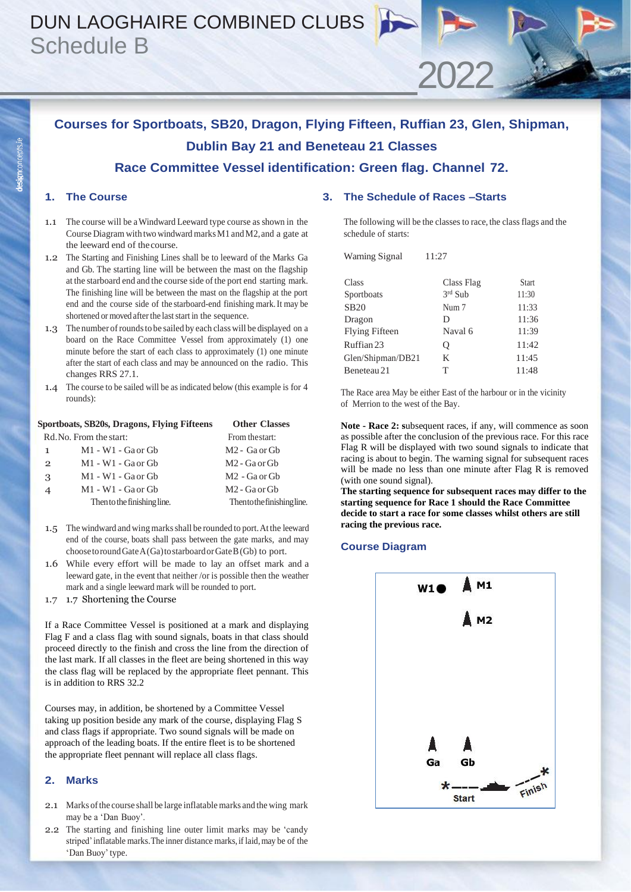## DUN LAOGHAIRE COMBINED CLUBS Schedule B

## **Courses for Sportboats, SB20, Dragon, Flying Fifteen, Ruffian 23, Glen, Shipman, Dublin Bay 21 and Beneteau 21 Classes Race Committee Vessel identification: Green flag. Channel 72.**

#### **1. The Course**

- 1.1 The course will be aWindward Leeward type course as shown in the Course Diagram with two windward marks M1 and M2, and a gate at the leeward end of thecourse.
- 1.2 The Starting and Finishing Lines shall be to leeward of the Marks Ga and Gb. The starting line will be between the mast on the flagship at the starboard end and the course side of the port end starting mark. The finishing line will be between the mast on the flagship at the port end and the course side of the starboard-end finishing mark.It may be shortened or moved after the last start in the sequence.
- 1.3 The number of rounds to be sailed by each class will be displayed on a board on the Race Committee Vessel from approximately (1) one minute before the start of each class to approximately (1) one minute after the start of each class and may be announced on the radio. This changes RRS 27.1.
- 1.4 The course to be sailed will be as indicated below (this example is for 4 rounds):

|                         | Sportboats, SB20s, Dragons, Flying Fifteens | <b>Other Classes</b>       |
|-------------------------|---------------------------------------------|----------------------------|
| Rd. No. From the start: |                                             | From the start:            |
| 1                       | $M1 - W1 - Ga$ or Gb                        | $M2 - Ga$ or Gb            |
| $\mathbf{2}$            | $M1 - W1 - Ga$ or Gb                        | $M2 - Ga$ or Gb            |
| 3                       | $M1 - W1 - Ga$ or Gb                        | $M2 - Ga$ or Gb            |
| $\overline{4}$          | $M1 - W1 - Ga$ or Gb                        | $M2 - Ga$ or Gb            |
|                         | Then to the finishing line.                 | Thento the finishing line. |

- 1.5 The windward and wing marksshall be rounded to port.At the leeward end of the course, boats shall pass between the gate marks, and may choosetoroundGateA(Ga)tostarboardorGateB(Gb) to port.
- 1.6 While every effort will be made to lay an offset mark and a leeward gate, in the event that neither /or is possible then the weather mark and a single leeward mark will be rounded to port.
- 1.7 1.7 Shortening the Course

If a Race Committee Vessel is positioned at a mark and displaying Flag F and a class flag with sound signals, boats in that class should proceed directly to the finish and cross the line from the direction of the last mark. If all classes in the fleet are being shortened in this way the class flag will be replaced by the appropriate fleet pennant. This is in addition to RRS 32.2

Courses may, in addition, be shortened by a Committee Vessel taking up position beside any mark of the course, displaying Flag S and class flags if appropriate. Two sound signals will be made on approach of the leading boats. If the entire fleet is to be shortened the appropriate fleet pennant will replace all class flags.

#### **2. Marks**

- 2.1 Marks of the course shall be large inflatable marks and the wing mark may be a 'Dan Buoy'.
- 2.2 The starting and finishing line outer limit marks may be 'candy striped' inflatable marks. The inner distance marks, if laid, may be of the 'Dan Buoy'type.

#### **3. The Schedule of Races –Starts**

The following will be the classes to race, the class flags and the schedule of starts:

2022

| Warning Signal        | 11:27      |              |
|-----------------------|------------|--------------|
| Class                 | Class Flag | <b>Start</b> |
| Sportboats            | $3rd$ Sub  | 11:30        |
| SB <sub>20</sub>      | Num 7      | 11:33        |
| Dragon                | D          | 11:36        |
| <b>Flying Fifteen</b> | Naval 6    | 11:39        |
| Ruffian 23            | О          | 11:42        |
| Glen/Shipman/DB21     | K          | 11:45        |
| Beneteau 21           | т          | 11:48        |

The Race area May be either East of the harbour or in the vicinity of Merrion to the west of the Bay.

**Note - Race 2: s**ubsequent races, if any, will commence as soon as possible after the conclusion of the previous race. For this race Flag R will be displayed with two sound signals to indicate that racing is about to begin. The warning signal for subsequent races will be made no less than one minute after Flag R is removed (with one sound signal).

**The starting sequence for subsequent races may differ to the starting sequence for Race 1 should the Race Committee decide to start a race for some classes whilst others are still racing the previous race.**

#### **Course Diagram**